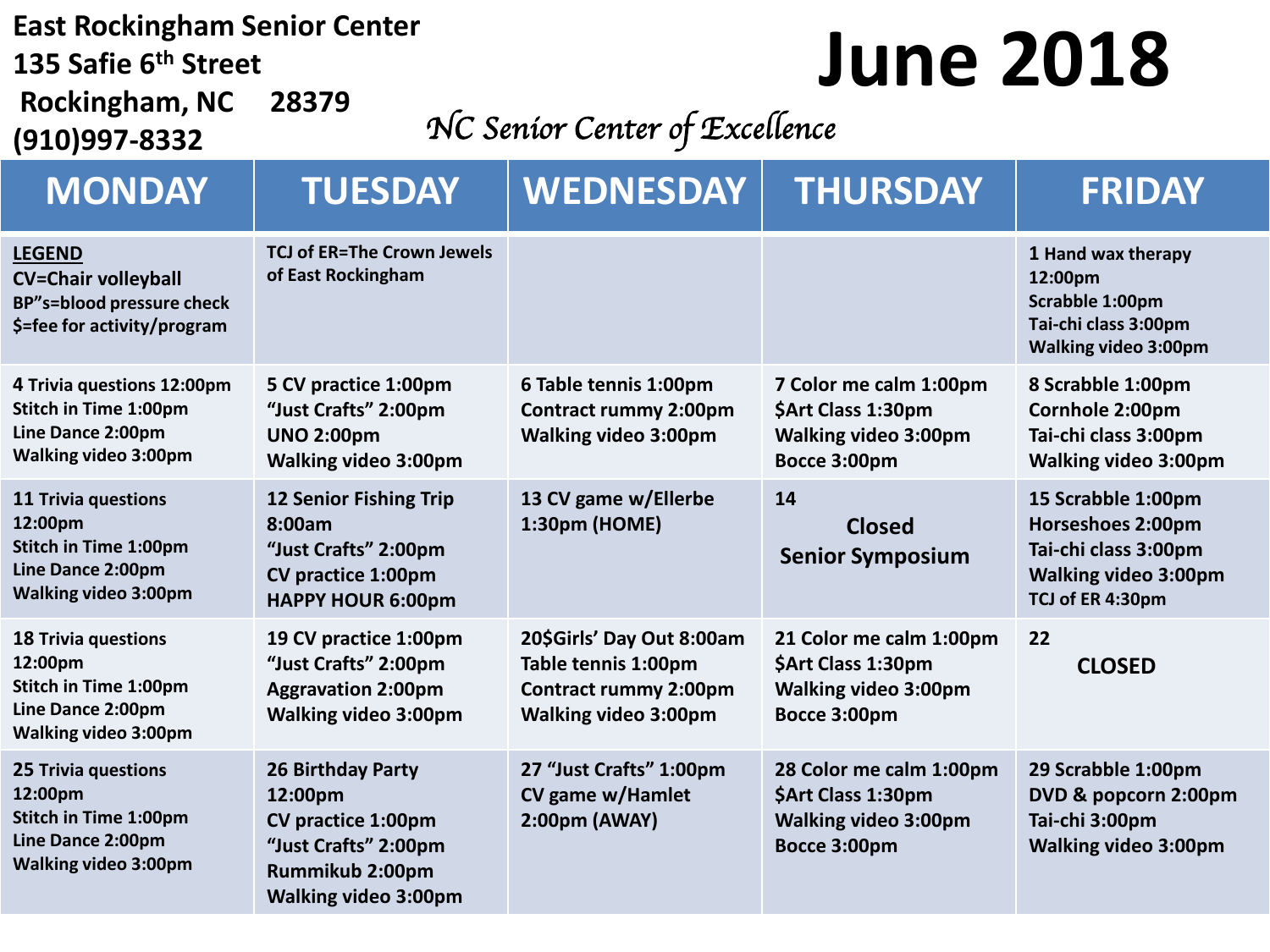#### **East Rockingham Senior Center**

**135 Safie 6th Street Rockingham, NC 28379**

**(910)997-8332**

## **June 2018**

### *NC Senior Center of Excellence*

| <b>MONDAY</b>                                                                                                             | <b>TUESDAY</b>                                                                                                                      | <b>WEDNESDAY</b>                                                                                                | <b>THURSDAY</b>                                                                              | <b>FRIDAY</b>                                                                                                             |
|---------------------------------------------------------------------------------------------------------------------------|-------------------------------------------------------------------------------------------------------------------------------------|-----------------------------------------------------------------------------------------------------------------|----------------------------------------------------------------------------------------------|---------------------------------------------------------------------------------------------------------------------------|
| <b>LEGEND</b><br><b>CV=Chair volleyball</b><br><b>BP"s=blood pressure check</b><br>\$=fee for activity/program            | <b>TCJ of ER=The Crown Jewels</b><br>of East Rockingham                                                                             |                                                                                                                 |                                                                                              | 1 Hand wax therapy<br>12:00pm<br>Scrabble 1:00pm<br>Tai-chi class 3:00pm<br><b>Walking video 3:00pm</b>                   |
| 4 Trivia questions 12:00pm<br>Stitch in Time 1:00pm<br>Line Dance 2:00pm<br><b>Walking video 3:00pm</b>                   | 5 CV practice 1:00pm<br>"Just Crafts" 2:00pm<br><b>UNO 2:00pm</b><br><b>Walking video 3:00pm</b>                                    | 6 Table tennis 1:00pm<br><b>Contract rummy 2:00pm</b><br><b>Walking video 3:00pm</b>                            | 7 Color me calm 1:00pm<br>\$Art Class 1:30pm<br>Walking video 3:00pm<br>Bocce 3:00pm         | 8 Scrabble 1:00pm<br>Cornhole 2:00pm<br>Tai-chi class 3:00pm<br><b>Walking video 3:00pm</b>                               |
| 11 Trivia questions<br>12:00pm<br><b>Stitch in Time 1:00pm</b><br>Line Dance 2:00pm<br><b>Walking video 3:00pm</b>        | <b>12 Senior Fishing Trip</b><br>8:00am<br>"Just Crafts" 2:00pm<br><b>CV practice 1:00pm</b><br><b>HAPPY HOUR 6:00pm</b>            | 13 CV game w/Ellerbe<br>1:30pm (HOME)                                                                           | 14<br><b>Closed</b><br><b>Senior Symposium</b>                                               | 15 Scrabble 1:00pm<br><b>Horseshoes 2:00pm</b><br>Tai-chi class 3:00pm<br><b>Walking video 3:00pm</b><br>TCJ of ER 4:30pm |
| <b>18 Trivia questions</b><br>12:00pm<br>Stitch in Time 1:00pm<br>Line Dance 2:00pm<br><b>Walking video 3:00pm</b>        | 19 CV practice 1:00pm<br>"Just Crafts" 2:00pm<br><b>Aggravation 2:00pm</b><br><b>Walking video 3:00pm</b>                           | 20\$Girls' Day Out 8:00am<br>Table tennis 1:00pm<br><b>Contract rummy 2:00pm</b><br><b>Walking video 3:00pm</b> | 21 Color me calm 1:00pm<br>\$Art Class 1:30pm<br><b>Walking video 3:00pm</b><br>Bocce 3:00pm | 22<br><b>CLOSED</b>                                                                                                       |
| <b>25 Trivia questions</b><br>12:00pm<br><b>Stitch in Time 1:00pm</b><br>Line Dance 2:00pm<br><b>Walking video 3:00pm</b> | 26 Birthday Party<br>12:00pm<br><b>CV practice 1:00pm</b><br>"Just Crafts" 2:00pm<br>Rummikub 2:00pm<br><b>Walking video 3:00pm</b> | 27 "Just Crafts" 1:00pm<br>CV game w/Hamlet<br>2:00pm (AWAY)                                                    | 28 Color me calm 1:00pm<br>\$Art Class 1:30pm<br><b>Walking video 3:00pm</b><br>Bocce 3:00pm | 29 Scrabble 1:00pm<br>DVD & popcorn 2:00pm<br>Tai-chi 3:00pm<br><b>Walking video 3:00pm</b>                               |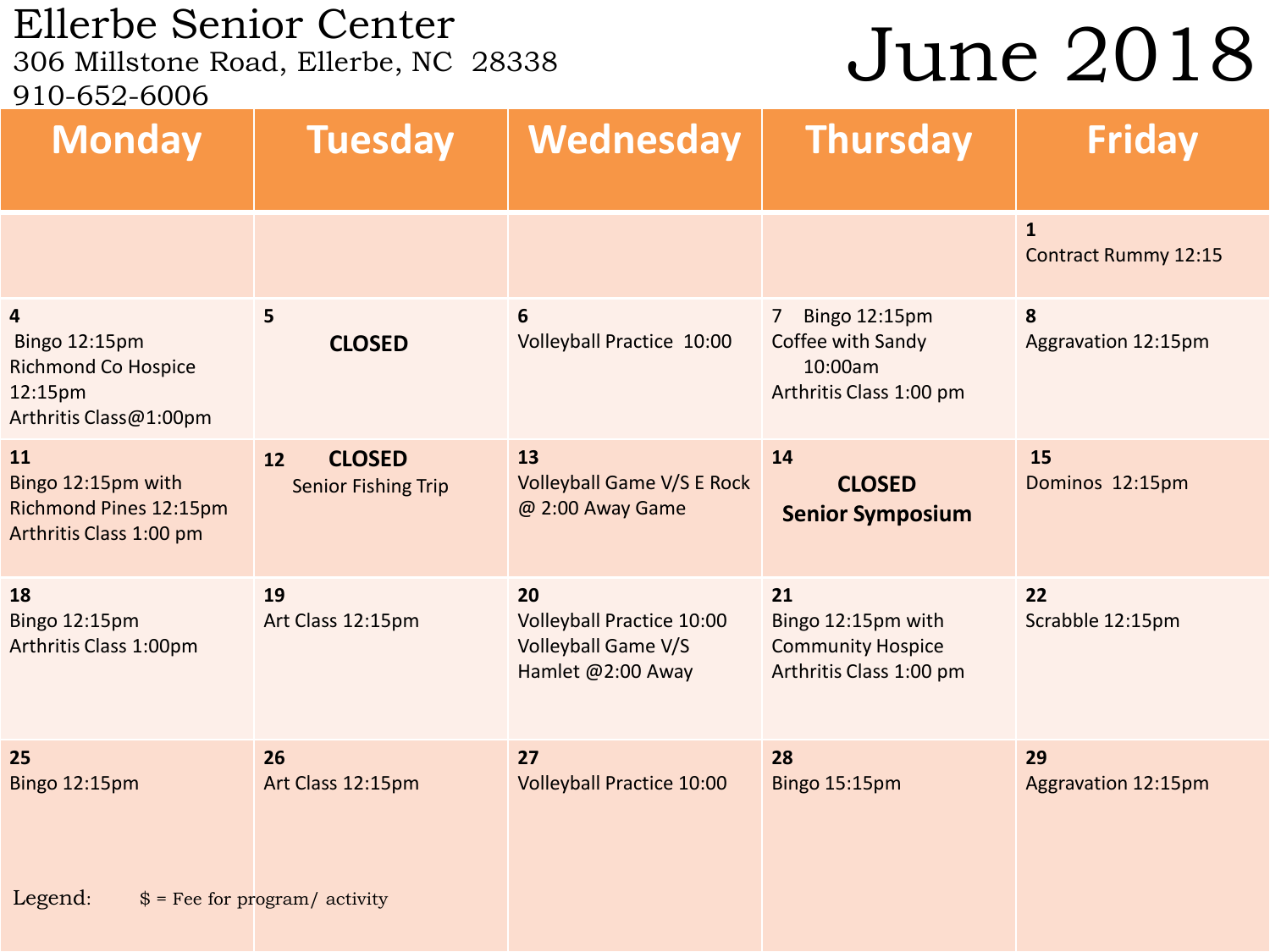### Ellerbe Senior Center<br>306 Millstone Road, Ellerbe, NC 28338 910-652-6006

## June 2018

| <b>Monday</b>                                                                                               | <b>Tuesday</b>                                    | Wednesday                                                                          | <b>Thursday</b>                                                                            | <b>Friday</b>                                          |
|-------------------------------------------------------------------------------------------------------------|---------------------------------------------------|------------------------------------------------------------------------------------|--------------------------------------------------------------------------------------------|--------------------------------------------------------|
|                                                                                                             |                                                   |                                                                                    |                                                                                            | $\overline{\mathbf{1}}$<br><b>Contract Rummy 12:15</b> |
| $\overline{\mathbf{4}}$<br>Bingo 12:15pm<br><b>Richmond Co Hospice</b><br>12:15pm<br>Arthritis Class@1:00pm | $5\phantom{a}$<br><b>CLOSED</b>                   | 6<br>Volleyball Practice 10:00                                                     | Bingo 12:15pm<br>$\overline{7}$<br>Coffee with Sandy<br>10:00am<br>Arthritis Class 1:00 pm | 8<br>Aggravation 12:15pm                               |
| 11<br>Bingo 12:15pm with<br><b>Richmond Pines 12:15pm</b><br>Arthritis Class 1:00 pm                        | <b>CLOSED</b><br>12<br><b>Senior Fishing Trip</b> | 13<br><b>Volleyball Game V/S E Rock</b><br>@ 2:00 Away Game                        | 14<br><b>CLOSED</b><br><b>Senior Symposium</b>                                             | 15<br>Dominos 12:15pm                                  |
| 18<br>Bingo 12:15pm<br>Arthritis Class 1:00pm                                                               | 19<br>Art Class 12:15pm                           | 20<br><b>Volleyball Practice 10:00</b><br>Volleyball Game V/S<br>Hamlet @2:00 Away | 21<br>Bingo 12:15pm with<br><b>Community Hospice</b><br>Arthritis Class 1:00 pm            | 22<br>Scrabble 12:15pm                                 |
| 25<br><b>Bingo 12:15pm</b>                                                                                  | 26<br>Art Class 12:15pm                           | 27<br><b>Volleyball Practice 10:00</b>                                             | 28<br>Bingo 15:15pm                                                                        | 29<br>Aggravation 12:15pm                              |
| Legend:                                                                                                     | $$ =$ Fee for program/ activity                   |                                                                                    |                                                                                            |                                                        |